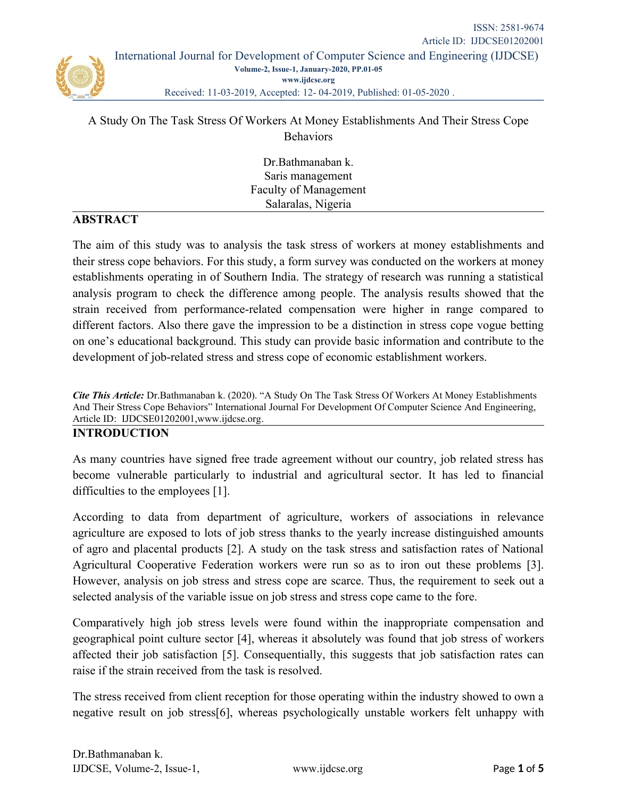### A Study On The Task Stress Of Workers At Money Establishments And Their Stress Cope **Behaviors**

Dr.Bathmanaban k. Saris management Faculty of Management Salaralas, Nigeria

### **ABSTRACT**

The aim of this study was to analysis the task stress of workers at money establishments and their stress cope behaviors. For this study, a form survey was conducted on the workers at money establishments operating in of Southern India. The strategy of research was running a statistical analysis program to check the difference among people. The analysis results showed that the strain received from performance-related compensation were higher in range compared to different factors. Also there gave the impression to be a distinction in stress cope vogue betting on one's educational background. This study can provide basic information and contribute to the development of job-related stress and stress cope of economic establishment workers.

*Cite This Article:* Dr.Bathmanaban k. (2020). "A Study On The Task Stress Of Workers At Money Establishments And Their Stress Cope Behaviors" International Journal For Development Of Computer Science And Engineering, Article ID: IJDCSE01202001,[www.ijdcse.org](http://www.ijdcse.org/).

#### **INTRODUCTION**

As many countries have signed free trade agreement without our country, job related stress has become vulnerable particularly to industrial and agricultural sector. It has led to financial difficulties to the employees [1].

According to data from department of agriculture, workers of associations in relevance agriculture are exposed to lots of job stress thanks to the yearly increase distinguished amounts of agro and placental products [2]. A study on the task stress and satisfaction rates of National Agricultural Cooperative Federation workers were run so as to iron out these problems [3]. However, analysis on job stress and stress cope are scarce. Thus, the requirement to seek out a selected analysis of the variable issue on job stress and stress cope came to the fore.

Comparatively high job stress levels were found within the inappropriate compensation and geographical point culture sector [4], whereas it absolutely was found that job stress of workers affected their job satisfaction [5]. Consequentially, this suggests that job satisfaction rates can raise if the strain received from the task is resolved.

The stress received from client reception for those operating within the industry showed to own a negative result on job stress[6], whereas psychologically unstable workers felt unhappy with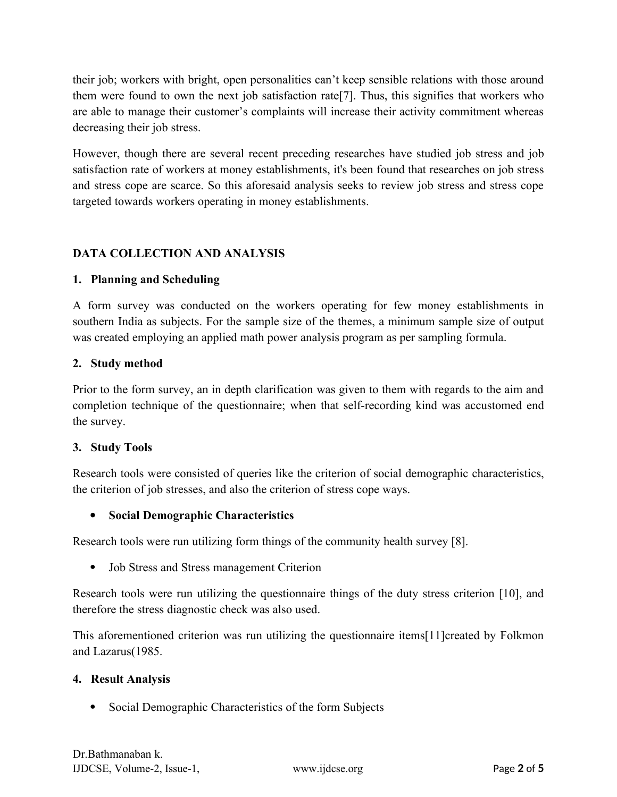their job; workers with bright, open personalities can't keep sensible relations with those around them were found to own the next job satisfaction rate[7]. Thus, this signifies that workers who are able to manage their customer's complaints will increase their activity commitment whereas decreasing their job stress.

However, though there are several recent preceding researches have studied job stress and job satisfaction rate of workers at money establishments, it's been found that researches on job stress and stress cope are scarce. So this aforesaid analysis seeks to review job stress and stress cope targeted towards workers operating in money establishments.

# **DATA COLLECTION AND ANALYSIS**

# **1. Planning and Scheduling**

A form survey was conducted on the workers operating for few money establishments in southern India as subjects. For the sample size of the themes, a minimum sample size of output was created employing an applied math power analysis program as per sampling formula.

### **2. Study method**

Prior to the form survey, an in depth clarification was given to them with regards to the aim and completion technique of the questionnaire; when that self-recording kind was accustomed end the survey.

### **3. Study Tools**

Research tools were consisted of queries like the criterion of social demographic characteristics, the criterion of job stresses, and also the criterion of stress cope ways.

# **Social Demographic Characteristics**

Research tools were run utilizing form things of the community health survey [8].

Job Stress and Stress management Criterion

Research tools were run utilizing the questionnaire things of the duty stress criterion [10], and therefore the stress diagnostic check was also used.

This aforementioned criterion was run utilizing the questionnaire items[11]created by Folkmon and Lazarus(1985.

### **4. Result Analysis**

• Social Demographic Characteristics of the form Subjects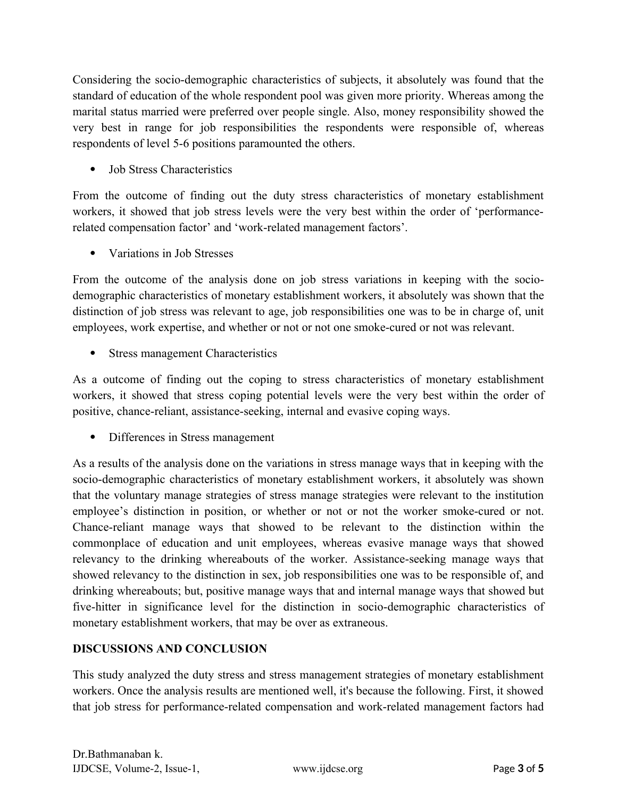Considering the socio-demographic characteristics of subjects, it absolutely was found that the standard of education of the whole respondent pool was given more priority. Whereas among the marital status married were preferred over people single. Also, money responsibility showed the very best in range for job responsibilities the respondents were responsible of, whereas respondents of level 5-6 positions paramounted the others.

Job Stress Characteristics

From the outcome of finding out the duty stress characteristics of monetary establishment workers, it showed that job stress levels were the very best within the order of 'performancerelated compensation factor' and 'work-related management factors'.

Variations in Job Stresses

From the outcome of the analysis done on job stress variations in keeping with the sociodemographic characteristics of monetary establishment workers, it absolutely was shown that the distinction of job stress was relevant to age, job responsibilities one was to be in charge of, unit employees, work expertise, and whether or not or not one smoke-cured or not was relevant.

• Stress management Characteristics

As a outcome of finding out the coping to stress characteristics of monetary establishment workers, it showed that stress coping potential levels were the very best within the order of positive, chance-reliant, assistance-seeking, internal and evasive coping ways.

Differences in Stress management

As a results of the analysis done on the variations in stress manage ways that in keeping with the socio-demographic characteristics of monetary establishment workers, it absolutely was shown that the voluntary manage strategies of stress manage strategies were relevant to the institution employee's distinction in position, or whether or not or not the worker smoke-cured or not. Chance-reliant manage ways that showed to be relevant to the distinction within the commonplace of education and unit employees, whereas evasive manage ways that showed relevancy to the drinking whereabouts of the worker. Assistance-seeking manage ways that showed relevancy to the distinction in sex, job responsibilities one was to be responsible of, and drinking whereabouts; but, positive manage ways that and internal manage ways that showed but five-hitter in significance level for the distinction in socio-demographic characteristics of monetary establishment workers, that may be over as extraneous.

### **DISCUSSIONS AND CONCLUSION**

This study analyzed the duty stress and stress management strategies of monetary establishment workers. Once the analysis results are mentioned well, it's because the following. First, it showed that job stress for performance-related compensation and work-related management factors had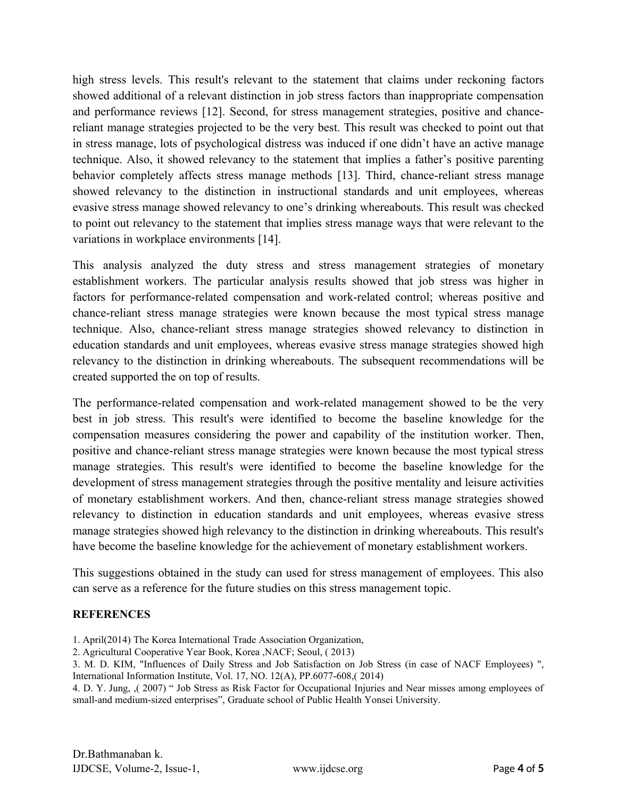high stress levels. This result's relevant to the statement that claims under reckoning factors showed additional of a relevant distinction in job stress factors than inappropriate compensation and performance reviews [12]. Second, for stress management strategies, positive and chancereliant manage strategies projected to be the very best. This result was checked to point out that in stress manage, lots of psychological distress was induced if one didn't have an active manage technique. Also, it showed relevancy to the statement that implies a father's positive parenting behavior completely affects stress manage methods [13]. Third, chance-reliant stress manage showed relevancy to the distinction in instructional standards and unit employees, whereas evasive stress manage showed relevancy to one's drinking whereabouts. This result was checked to point out relevancy to the statement that implies stress manage ways that were relevant to the variations in workplace environments [14].

This analysis analyzed the duty stress and stress management strategies of monetary establishment workers. The particular analysis results showed that job stress was higher in factors for performance-related compensation and work-related control; whereas positive and chance-reliant stress manage strategies were known because the most typical stress manage technique. Also, chance-reliant stress manage strategies showed relevancy to distinction in education standards and unit employees, whereas evasive stress manage strategies showed high relevancy to the distinction in drinking whereabouts. The subsequent recommendations will be created supported the on top of results.

The performance-related compensation and work-related management showed to be the very best in job stress. This result's were identified to become the baseline knowledge for the compensation measures considering the power and capability of the institution worker. Then, positive and chance-reliant stress manage strategies were known because the most typical stress manage strategies. This result's were identified to become the baseline knowledge for the development of stress management strategies through the positive mentality and leisure activities of monetary establishment workers. And then, chance-reliant stress manage strategies showed relevancy to distinction in education standards and unit employees, whereas evasive stress manage strategies showed high relevancy to the distinction in drinking whereabouts. This result's have become the baseline knowledge for the achievement of monetary establishment workers.

This suggestions obtained in the study can used for stress management of employees. This also can serve as a reference for the future studies on this stress management topic.

### **REFERENCES**

- 1. April(2014) The Korea International Trade Association Organization,
- 2. Agricultural Cooperative Year Book, Korea ,NACF; Seoul, ( 2013)

3. M. D. KIM, "Influences of Daily Stress and Job Satisfaction on Job Stress (in case of NACF Employees) ", International Information Institute, Vol. 17, NO. 12(A), PP.6077-608,( 2014)

4. D. Y. Jung, ,( 2007) " Job Stress as Risk Factor for Occupational Injuries and Near misses among employees of small-and medium-sized enterprises", Graduate school of Public Health Yonsei University.